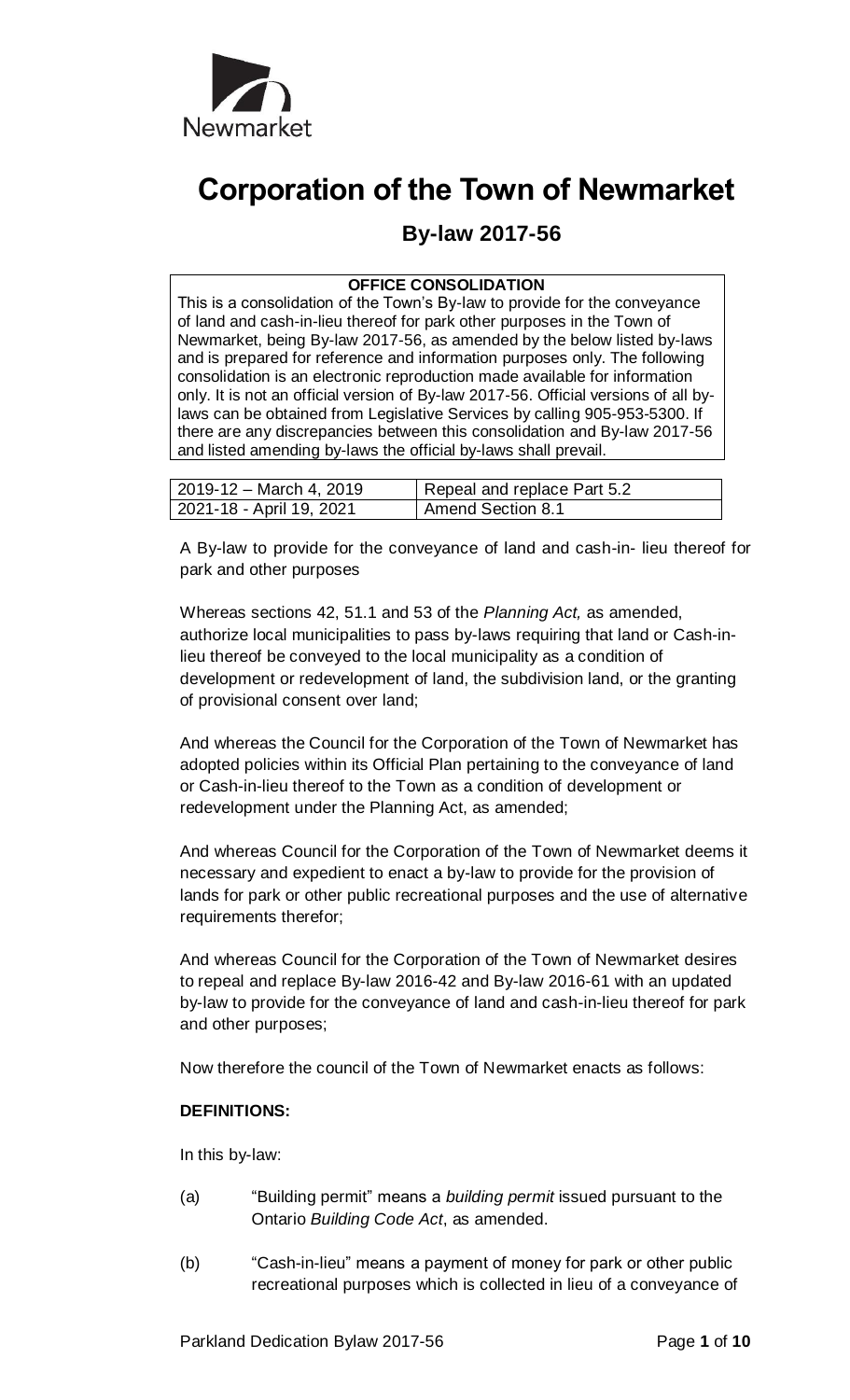

# **Corporation of the Town of Newmarket**

# **By-law 2017-56**

#### **OFFICE CONSOLIDATION**

This is a consolidation of the Town's By-law to provide for the conveyance of land and cash-in-lieu thereof for park other purposes in the Town of Newmarket, being By-law 2017-56, as amended by the below listed by-laws and is prepared for reference and information purposes only. The following consolidation is an electronic reproduction made available for information only. It is not an official version of By-law 2017-56. Official versions of all bylaws can be obtained from Legislative Services by calling 905-953-5300. If there are any discrepancies between this consolidation and By-law 2017-56 and listed amending by-laws the official by-laws shall prevail.

| 2019-12 – March 4, 2019  | Repeal and replace Part 5.2 |
|--------------------------|-----------------------------|
| 2021-18 - April 19, 2021 | <b>Amend Section 8.1</b>    |

A By-law to provide for the conveyance of land and cash-in- lieu thereof for park and other purposes

Whereas sections 42, 51.1 and 53 of the *Planning Act,* as amended, authorize local municipalities to pass by-laws requiring that land or Cash-inlieu thereof be conveyed to the local municipality as a condition of development or redevelopment of land, the subdivision land, or the granting of provisional consent over land;

And whereas the Council for the Corporation of the Town of Newmarket has adopted policies within its Official Plan pertaining to the conveyance of land or Cash-in-lieu thereof to the Town as a condition of development or redevelopment under the Planning Act, as amended;

And whereas Council for the Corporation of the Town of Newmarket deems it necessary and expedient to enact a by-law to provide for the provision of lands for park or other public recreational purposes and the use of alternative requirements therefor;

And whereas Council for the Corporation of the Town of Newmarket desires to repeal and replace By-law 2016-42 and By-law 2016-61 with an updated by-law to provide for the conveyance of land and cash-in-lieu thereof for park and other purposes;

Now therefore the council of the Town of Newmarket enacts as follows:

#### **DEFINITIONS:**

In this by-law:

- (a) "Building permit" means a *building permit* issued pursuant to the Ontario *Building Code Act*, as amended.
- (b) "Cash-in-lieu" means a payment of money for park or other public recreational purposes which is collected in lieu of a conveyance of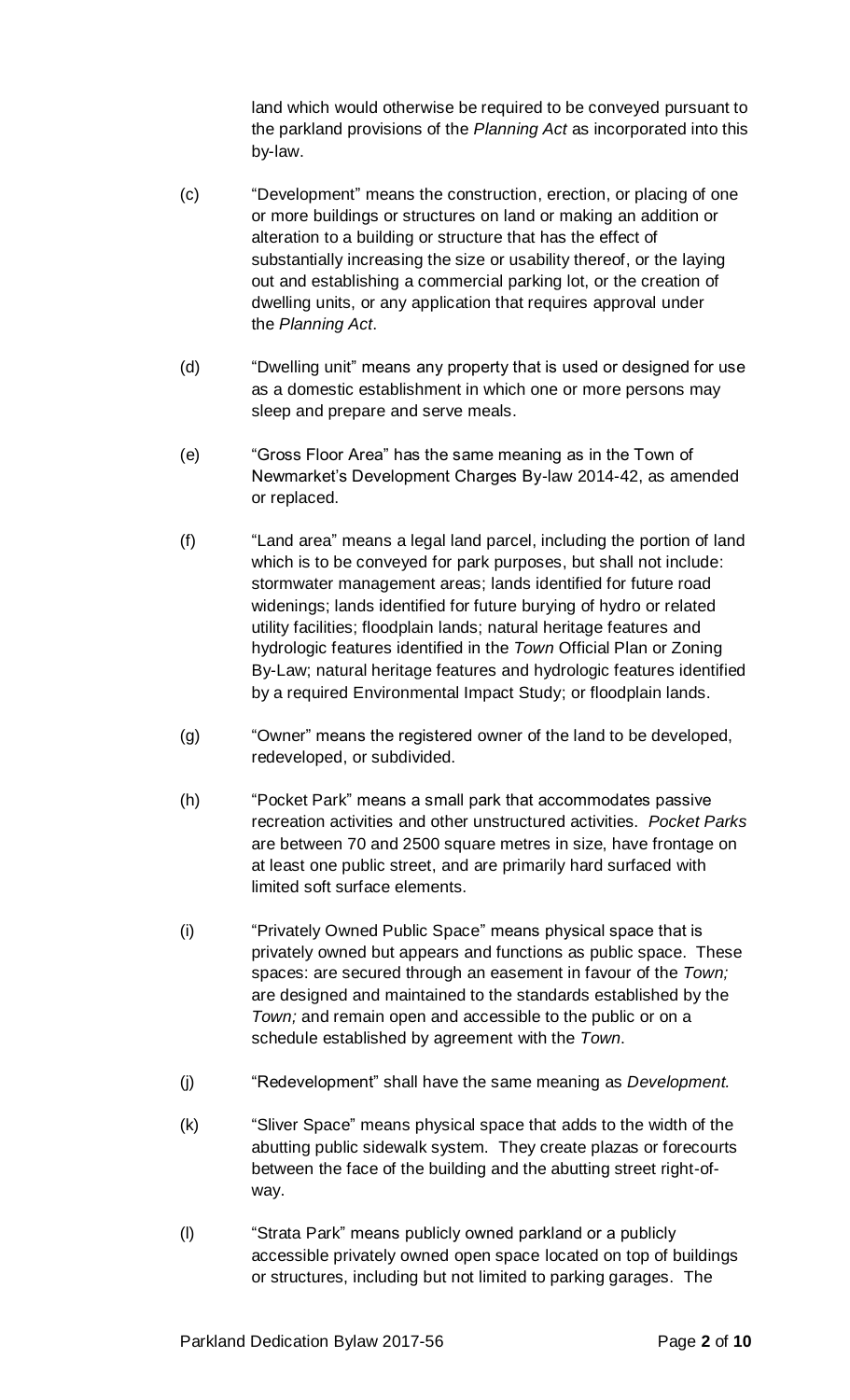land which would otherwise be required to be conveyed pursuant to the parkland provisions of the *Planning Act* as incorporated into this by-law.

- (c) "Development" means the construction, erection, or placing of one or more buildings or structures on land or making an addition or alteration to a building or structure that has the effect of substantially increasing the size or usability thereof, or the laying out and establishing a commercial parking lot, or the creation of dwelling units, or any application that requires approval under the *Planning Act*.
- (d) "Dwelling unit" means any property that is used or designed for use as a domestic establishment in which one or more persons may sleep and prepare and serve meals.
- (e) "Gross Floor Area" has the same meaning as in the Town of Newmarket's Development Charges By-law 2014-42, as amended or replaced.
- (f) "Land area" means a legal land parcel, including the portion of land which is to be conveyed for park purposes, but shall not include: stormwater management areas; lands identified for future road widenings; lands identified for future burying of hydro or related utility facilities; floodplain lands; natural heritage features and hydrologic features identified in the *Town* Official Plan or Zoning By-Law; natural heritage features and hydrologic features identified by a required Environmental Impact Study; or floodplain lands.
- (g) "Owner" means the registered owner of the land to be developed, redeveloped, or subdivided.
- (h) "Pocket Park" means a small park that accommodates passive recreation activities and other unstructured activities. *Pocket Parks* are between 70 and 2500 square metres in size, have frontage on at least one public street, and are primarily hard surfaced with limited soft surface elements.
- (i) "Privately Owned Public Space" means physical space that is privately owned but appears and functions as public space. These spaces: are secured through an easement in favour of the *Town;*  are designed and maintained to the standards established by the *Town;* and remain open and accessible to the public or on a schedule established by agreement with the *Town*.
- (j) "Redevelopment" shall have the same meaning as *Development.*
- (k) "Sliver Space" means physical space that adds to the width of the abutting public sidewalk system. They create plazas or forecourts between the face of the building and the abutting street right-ofway.
- (l) "Strata Park" means publicly owned parkland or a publicly accessible privately owned open space located on top of buildings or structures, including but not limited to parking garages. The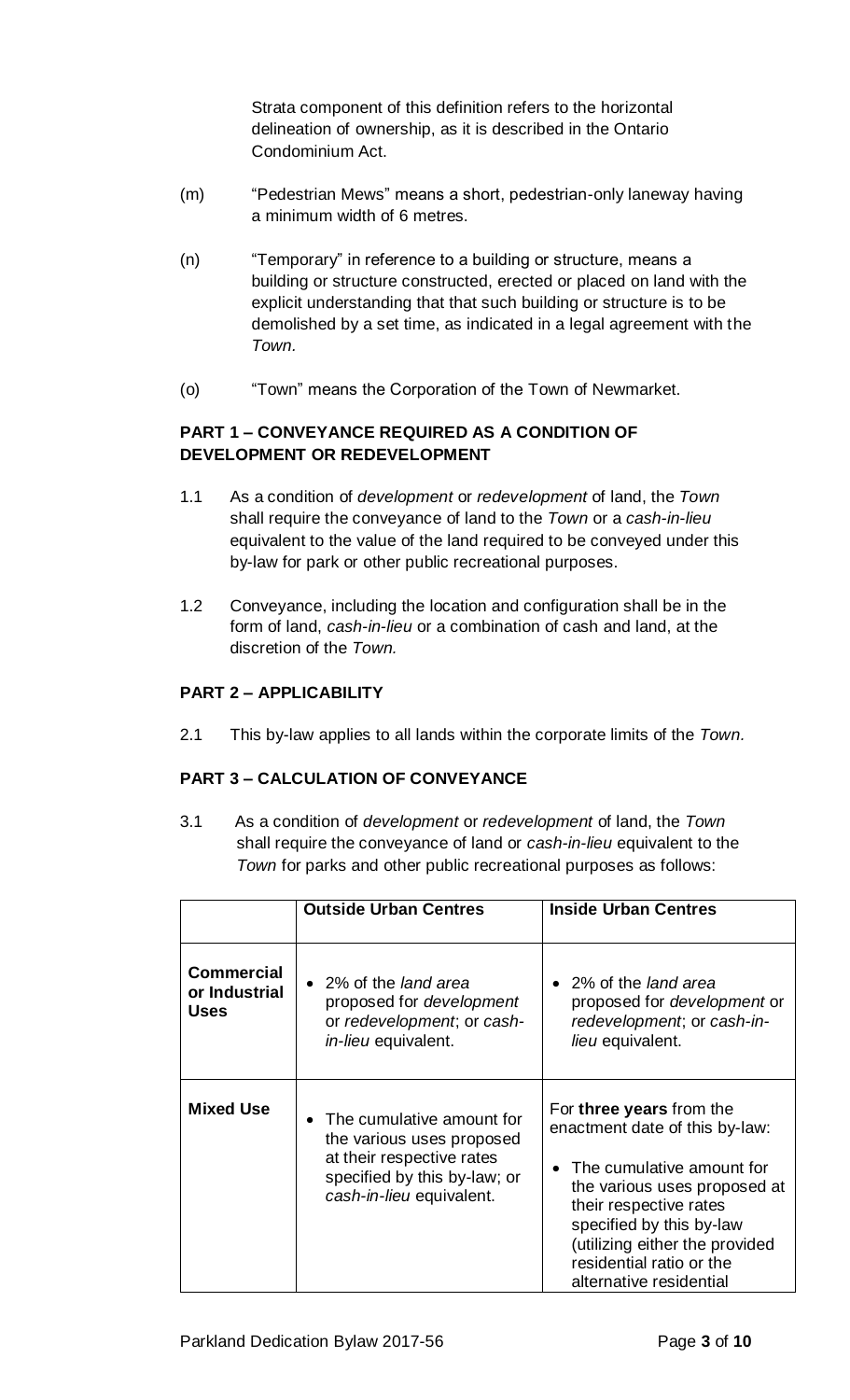Strata component of this definition refers to the horizontal delineation of ownership, as it is described in the Ontario Condominium Act.

- (m) "Pedestrian Mews" means a short, pedestrian-only laneway having a minimum width of 6 metres.
- (n) "Temporary" in reference to a building or structure, means a building or structure constructed, erected or placed on land with the explicit understanding that that such building or structure is to be demolished by a set time, as indicated in a legal agreement with the *Town.*
- (o) "Town" means the Corporation of the Town of Newmarket.

## **PART 1 – CONVEYANCE REQUIRED AS A CONDITION OF DEVELOPMENT OR REDEVELOPMENT**

- 1.1 As a condition of *development* or *redevelopment* of land, the *Town* shall require the conveyance of land to the *Town* or a *cash-in-lieu* equivalent to the value of the land required to be conveyed under this by-law for park or other public recreational purposes.
- 1.2 Conveyance, including the location and configuration shall be in the form of land, *cash-in-lieu* or a combination of cash and land, at the discretion of the *Town.*

# **PART 2 – APPLICABILITY**

2.1 This by-law applies to all lands within the corporate limits of the *Town.*

# **PART 3 – CALCULATION OF CONVEYANCE**

3.1 As a condition of *development* or *redevelopment* of land, the *Town* shall require the conveyance of land or *cash-in-lieu* equivalent to the *Town* for parks and other public recreational purposes as follows:

|                                                   | <b>Outside Urban Centres</b>                                                                                                                      | <b>Inside Urban Centres</b>                                                                                                                                                                                                                                            |
|---------------------------------------------------|---------------------------------------------------------------------------------------------------------------------------------------------------|------------------------------------------------------------------------------------------------------------------------------------------------------------------------------------------------------------------------------------------------------------------------|
| <b>Commercial</b><br>or Industrial<br><b>Uses</b> | • 2% of the land area<br>proposed for <i>development</i><br>or redevelopment; or cash-<br>in-lieu equivalent.                                     | • 2% of the land area<br>proposed for <i>development</i> or<br>redevelopment; or cash-in-<br>lieu equivalent.                                                                                                                                                          |
| <b>Mixed Use</b>                                  | • The cumulative amount for<br>the various uses proposed<br>at their respective rates<br>specified by this by-law; or<br>cash-in-lieu equivalent. | For three years from the<br>enactment date of this by-law:<br>The cumulative amount for<br>the various uses proposed at<br>their respective rates<br>specified by this by-law<br>(utilizing either the provided<br>residential ratio or the<br>alternative residential |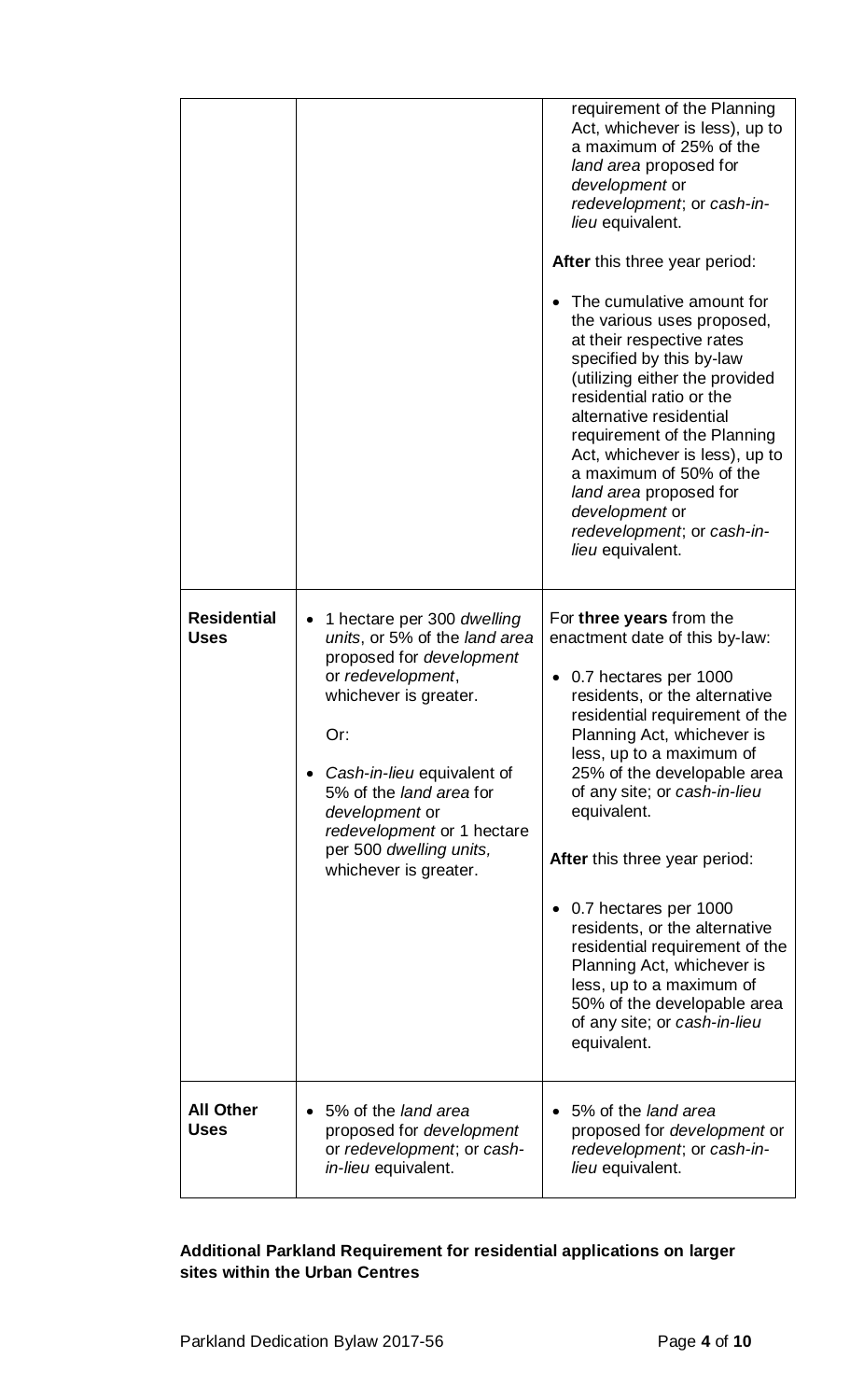| <b>Residential</b>              | 1 hectare per 300 dwelling                                                                                                                                                                                                                                                         | requirement of the Planning<br>Act, whichever is less), up to<br>a maximum of 25% of the<br>land area proposed for<br>development or<br>redevelopment; or cash-in-<br>lieu equivalent.<br><b>After</b> this three year period:<br>The cumulative amount for<br>the various uses proposed,<br>at their respective rates<br>specified by this by-law<br>(utilizing either the provided<br>residential ratio or the<br>alternative residential<br>requirement of the Planning<br>Act, whichever is less), up to<br>a maximum of 50% of the<br>land area proposed for<br>development or<br>redevelopment; or cash-in-<br>lieu equivalent.<br>For three years from the |
|---------------------------------|------------------------------------------------------------------------------------------------------------------------------------------------------------------------------------------------------------------------------------------------------------------------------------|-------------------------------------------------------------------------------------------------------------------------------------------------------------------------------------------------------------------------------------------------------------------------------------------------------------------------------------------------------------------------------------------------------------------------------------------------------------------------------------------------------------------------------------------------------------------------------------------------------------------------------------------------------------------|
| <b>Uses</b>                     | units, or 5% of the land area<br>proposed for development<br>or redevelopment,<br>whichever is greater.<br>Or:<br>Cash-in-lieu equivalent of<br>5% of the <i>land area</i> for<br>development or<br>redevelopment or 1 hectare<br>per 500 dwelling units,<br>whichever is greater. | enactment date of this by-law:<br>0.7 hectares per 1000<br>residents, or the alternative<br>residential requirement of the<br>Planning Act, whichever is<br>less, up to a maximum of<br>25% of the developable area<br>of any site; or cash-in-lieu<br>equivalent.<br>After this three year period:<br>0.7 hectares per 1000<br>residents, or the alternative<br>residential requirement of the<br>Planning Act, whichever is<br>less, up to a maximum of<br>50% of the developable area<br>of any site; or cash-in-lieu<br>equivalent.                                                                                                                           |
| <b>All Other</b><br><b>Uses</b> | 5% of the land area<br>proposed for development<br>or redevelopment; or cash-<br>in-lieu equivalent.                                                                                                                                                                               | 5% of the land area<br>proposed for <i>development</i> or<br>redevelopment; or cash-in-<br>lieu equivalent.                                                                                                                                                                                                                                                                                                                                                                                                                                                                                                                                                       |

# **Additional Parkland Requirement for residential applications on larger sites within the Urban Centres**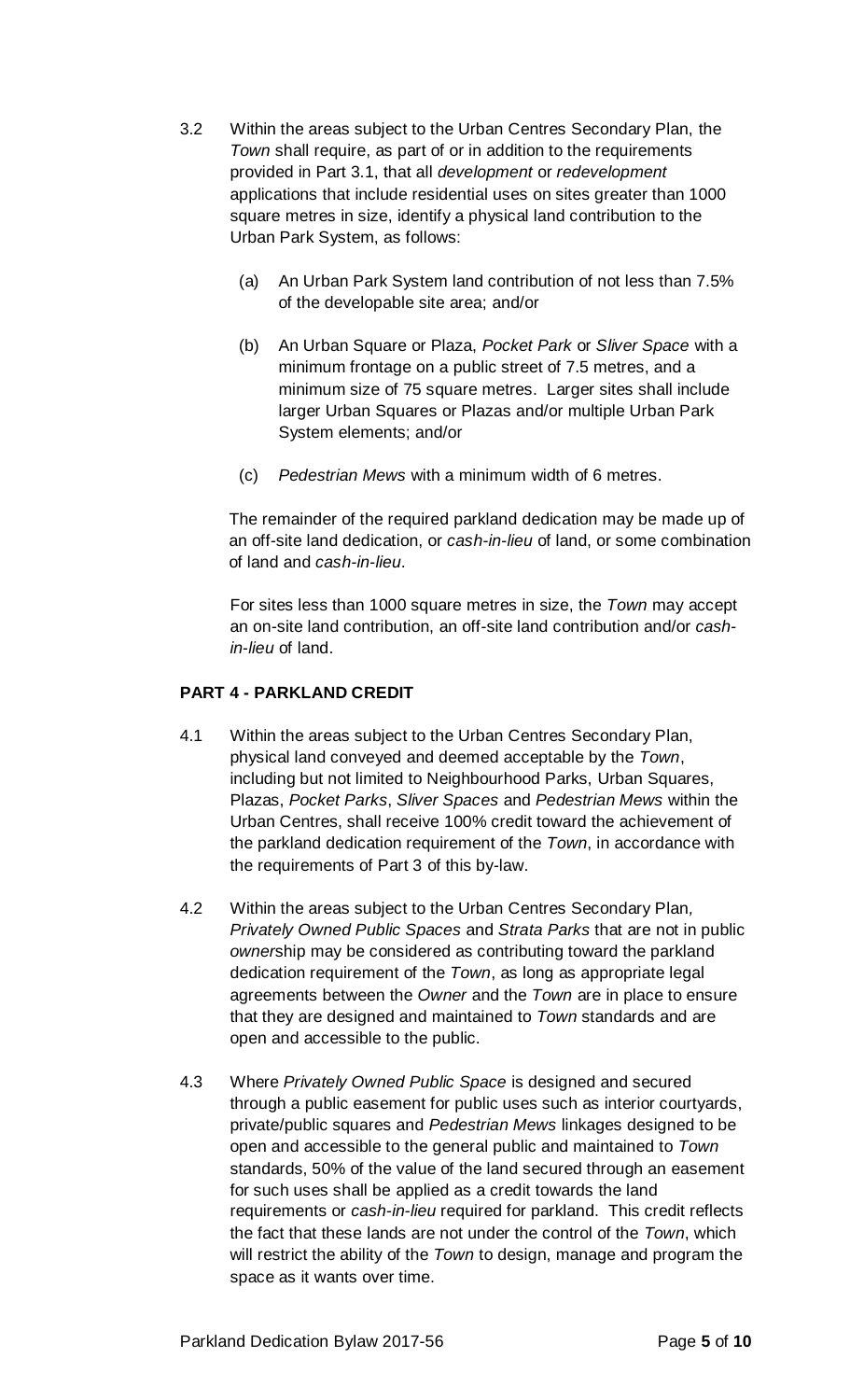- 3.2 Within the areas subject to the Urban Centres Secondary Plan, the *Town* shall require, as part of or in addition to the requirements provided in Part 3.1, that all *development* or *redevelopment* applications that include residential uses on sites greater than 1000 square metres in size, identify a physical land contribution to the Urban Park System, as follows:
	- (a) An Urban Park System land contribution of not less than 7.5% of the developable site area; and/or
	- (b) An Urban Square or Plaza, *Pocket Park* or *Sliver Space* with a minimum frontage on a public street of 7.5 metres, and a minimum size of 75 square metres. Larger sites shall include larger Urban Squares or Plazas and/or multiple Urban Park System elements; and/or
	- (c) *Pedestrian Mews* with a minimum width of 6 metres.

The remainder of the required parkland dedication may be made up of an off-site land dedication, or *cash-in-lieu* of land, or some combination of land and *cash-in-lieu*.

For sites less than 1000 square metres in size, the *Town* may accept an on-site land contribution, an off-site land contribution and/or *cashin-lieu* of land.

## **PART 4 - PARKLAND CREDIT**

- 4.1 Within the areas subject to the Urban Centres Secondary Plan, physical land conveyed and deemed acceptable by the *Town*, including but not limited to Neighbourhood Parks, Urban Squares, Plazas, *Pocket Parks*, *Sliver Spaces* and *Pedestrian Mews* within the Urban Centres, shall receive 100% credit toward the achievement of the parkland dedication requirement of the *Town*, in accordance with the requirements of Part 3 of this by-law.
- 4.2 Within the areas subject to the Urban Centres Secondary Plan*, Privately Owned Public Spaces* and *Strata Parks* that are not in public *owner*ship may be considered as contributing toward the parkland dedication requirement of the *Town*, as long as appropriate legal agreements between the *Owner* and the *Town* are in place to ensure that they are designed and maintained to *Town* standards and are open and accessible to the public.
- 4.3 Where *Privately Owned Public Space* is designed and secured through a public easement for public uses such as interior courtyards, private/public squares and *Pedestrian Mews* linkages designed to be open and accessible to the general public and maintained to *Town* standards, 50% of the value of the land secured through an easement for such uses shall be applied as a credit towards the land requirements or *cash-in-lieu* required for parkland. This credit reflects the fact that these lands are not under the control of the *Town*, which will restrict the ability of the *Town* to design, manage and program the space as it wants over time.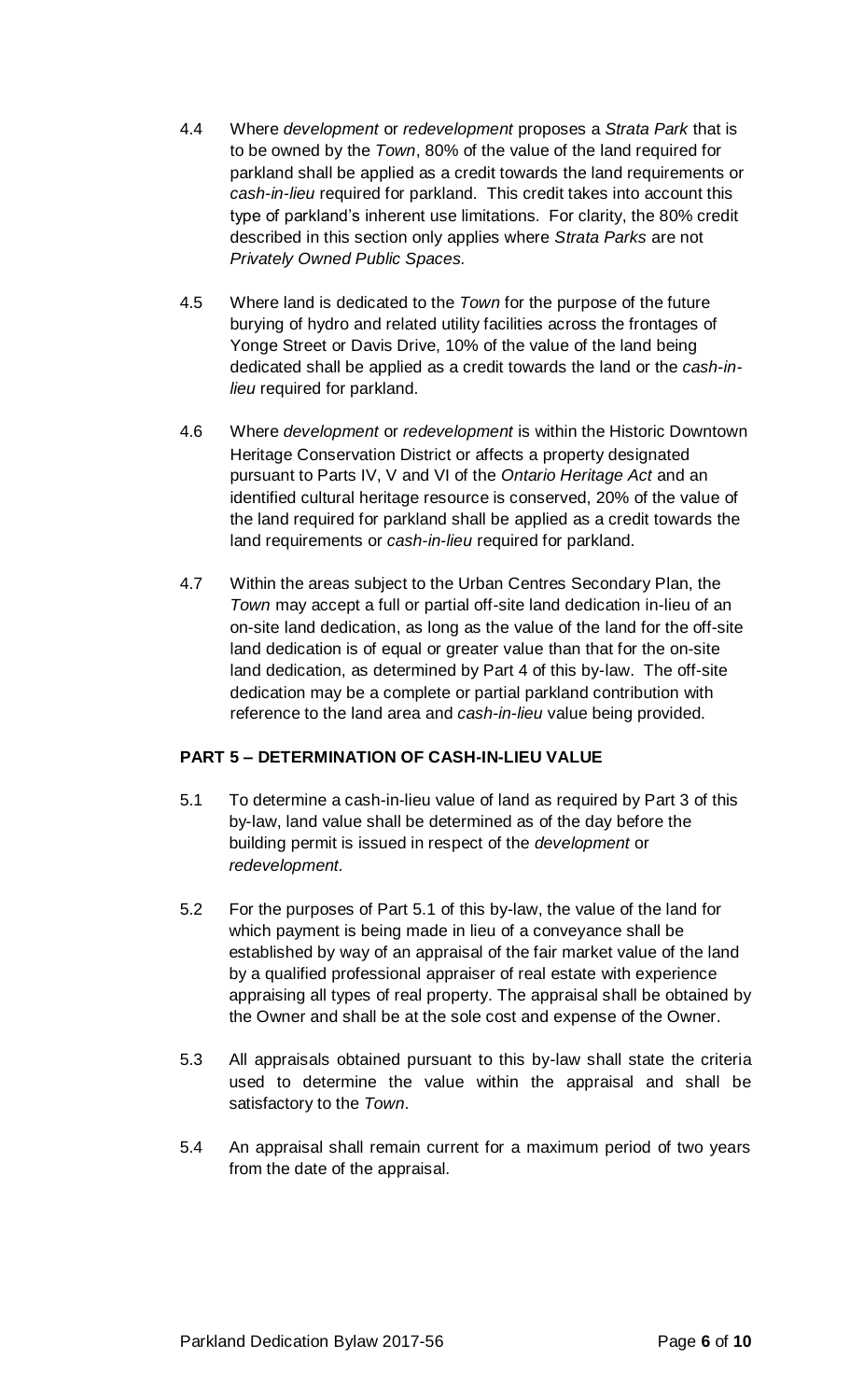- 4.4 Where *development* or *redevelopment* proposes a *Strata Park* that is to be owned by the *Town*, 80% of the value of the land required for parkland shall be applied as a credit towards the land requirements or *cash-in-lieu* required for parkland. This credit takes into account this type of parkland's inherent use limitations. For clarity, the 80% credit described in this section only applies where *Strata Parks* are not *Privately Owned Public Spaces.*
- 4.5 Where land is dedicated to the *Town* for the purpose of the future burying of hydro and related utility facilities across the frontages of Yonge Street or Davis Drive, 10% of the value of the land being dedicated shall be applied as a credit towards the land or the *cash-inlieu* required for parkland.
- 4.6 Where *development* or *redevelopment* is within the Historic Downtown Heritage Conservation District or affects a property designated pursuant to Parts IV, V and VI of the *Ontario Heritage Act* and an identified cultural heritage resource is conserved, 20% of the value of the land required for parkland shall be applied as a credit towards the land requirements or *cash-in-lieu* required for parkland.
- 4.7 Within the areas subject to the Urban Centres Secondary Plan, the *Town* may accept a full or partial off-site land dedication in-lieu of an on-site land dedication, as long as the value of the land for the off-site land dedication is of equal or greater value than that for the on-site land dedication, as determined by Part 4 of this by-law. The off-site dedication may be a complete or partial parkland contribution with reference to the land area and *cash-in-lieu* value being provided.

# **PART 5 – DETERMINATION OF CASH-IN-LIEU VALUE**

- 5.1 To determine a cash-in-lieu value of land as required by Part 3 of this by-law, land value shall be determined as of the day before the building permit is issued in respect of the *development* or *redevelopment.*
- 5.2 For the purposes of Part 5.1 of this by-law, the value of the land for which payment is being made in lieu of a conveyance shall be established by way of an appraisal of the fair market value of the land by a qualified professional appraiser of real estate with experience appraising all types of real property. The appraisal shall be obtained by the Owner and shall be at the sole cost and expense of the Owner.
- 5.3 All appraisals obtained pursuant to this by-law shall state the criteria used to determine the value within the appraisal and shall be satisfactory to the *Town*.
- 5.4 An appraisal shall remain current for a maximum period of two years from the date of the appraisal.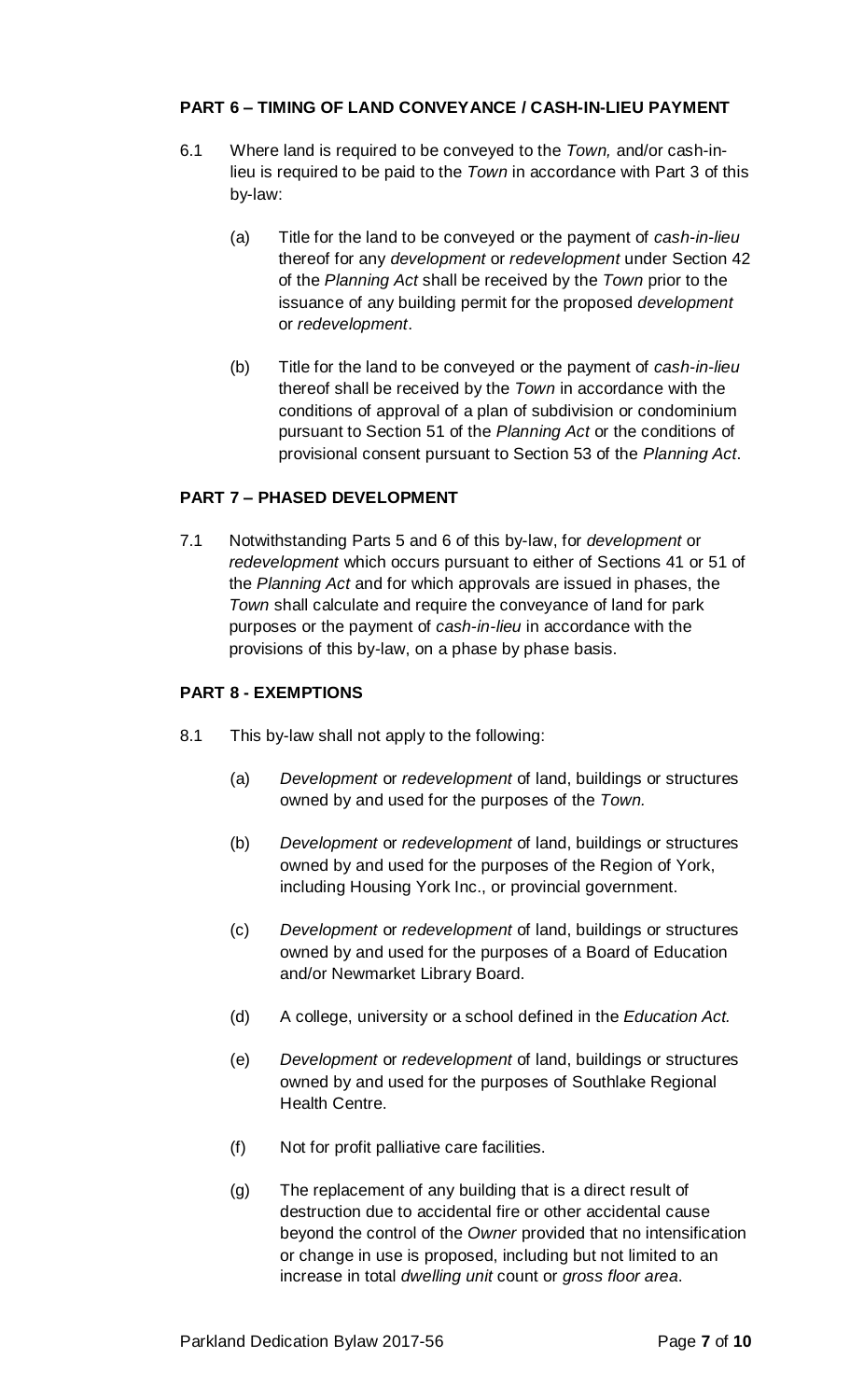## **PART 6 – TIMING OF LAND CONVEYANCE / CASH-IN-LIEU PAYMENT**

- 6.1 Where land is required to be conveyed to the *Town,* and/or cash-inlieu is required to be paid to the *Town* in accordance with Part 3 of this by-law:
	- (a) Title for the land to be conveyed or the payment of *cash-in-lieu* thereof for any *development* or *redevelopment* under Section 42 of the *Planning Act* shall be received by the *Town* prior to the issuance of any building permit for the proposed *development* or *redevelopment*.
	- (b) Title for the land to be conveyed or the payment of *cash-in-lieu* thereof shall be received by the *Town* in accordance with the conditions of approval of a plan of subdivision or condominium pursuant to Section 51 of the *Planning Act* or the conditions of provisional consent pursuant to Section 53 of the *Planning Act*.

#### **PART 7 – PHASED DEVELOPMENT**

7.1 Notwithstanding Parts 5 and 6 of this by-law, for *development* or *redevelopment* which occurs pursuant to either of Sections 41 or 51 of the *Planning Act* and for which approvals are issued in phases, the *Town* shall calculate and require the conveyance of land for park purposes or the payment of *cash-in-lieu* in accordance with the provisions of this by-law, on a phase by phase basis.

#### **PART 8 - EXEMPTIONS**

- 8.1 This by-law shall not apply to the following:
	- (a) *Development* or *redevelopment* of land, buildings or structures owned by and used for the purposes of the *Town.*
	- (b) *Development* or *redevelopment* of land, buildings or structures owned by and used for the purposes of the Region of York, including Housing York Inc., or provincial government.
	- (c) *Development* or *redevelopment* of land, buildings or structures owned by and used for the purposes of a Board of Education and/or Newmarket Library Board.
	- (d) A college, university or a school defined in the *Education Act.*
	- (e) *Development* or *redevelopment* of land, buildings or structures owned by and used for the purposes of Southlake Regional Health Centre.
	- (f) Not for profit palliative care facilities.
	- (g) The replacement of any building that is a direct result of destruction due to accidental fire or other accidental cause beyond the control of the *Owner* provided that no intensification or change in use is proposed, including but not limited to an increase in total *dwelling unit* count or *gross floor area*.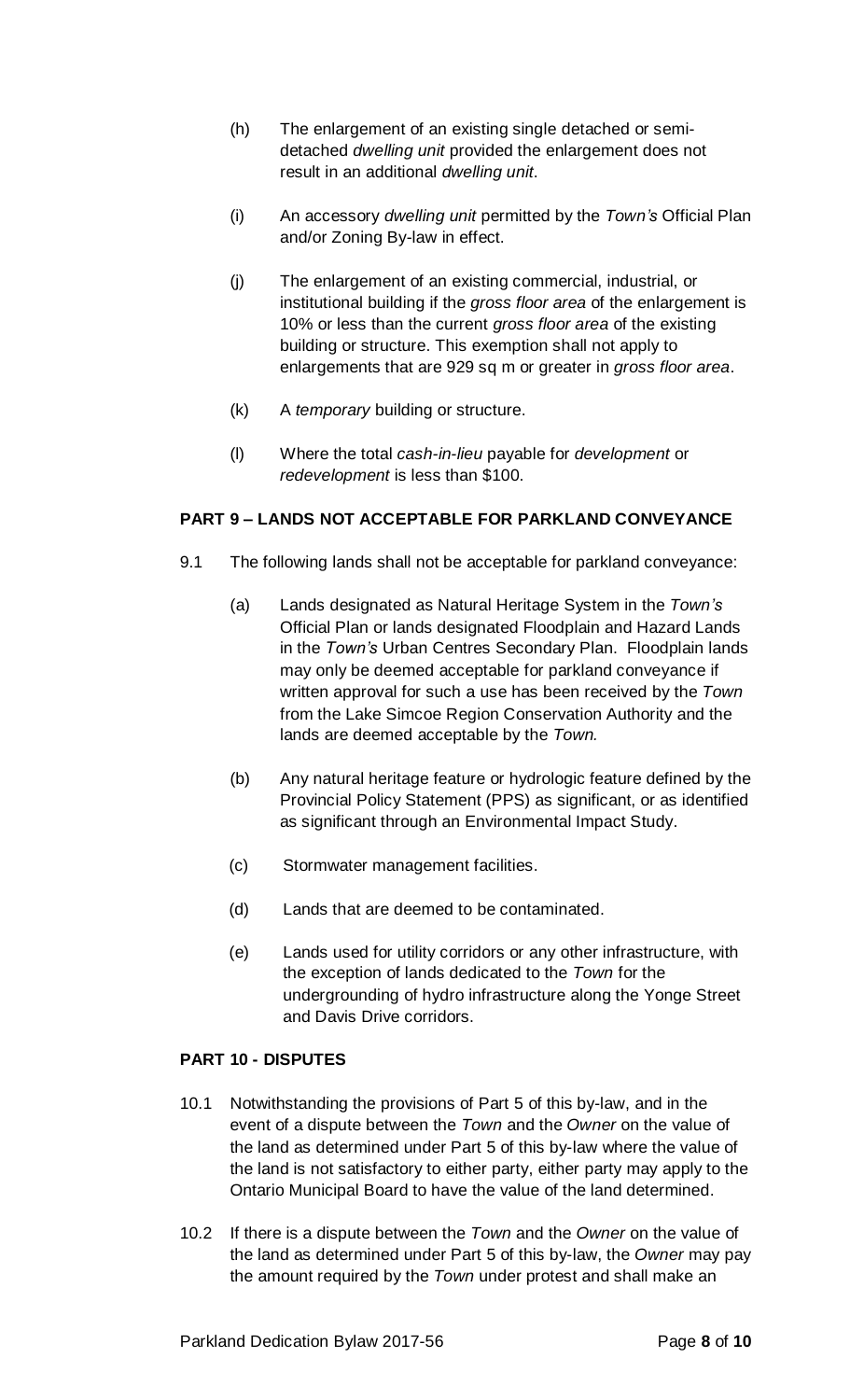- (h) The enlargement of an existing single detached or semidetached *dwelling unit* provided the enlargement does not result in an additional *dwelling unit*.
- (i) An accessory *dwelling unit* permitted by the *Town's* Official Plan and/or Zoning By-law in effect.
- (j) The enlargement of an existing commercial, industrial, or institutional building if the *gross floor area* of the enlargement is 10% or less than the current *gross floor area* of the existing building or structure. This exemption shall not apply to enlargements that are 929 sq m or greater in *gross floor area*.
- (k) A *temporary* building or structure.
- (l) Where the total *cash-in-lieu* payable for *development* or *redevelopment* is less than \$100.

# **PART 9 – LANDS NOT ACCEPTABLE FOR PARKLAND CONVEYANCE**

- 9.1 The following lands shall not be acceptable for parkland conveyance:
	- (a) Lands designated as Natural Heritage System in the *Town's* Official Plan or lands designated Floodplain and Hazard Lands in the *Town's* Urban Centres Secondary Plan. Floodplain lands may only be deemed acceptable for parkland conveyance if written approval for such a use has been received by the *Town* from the Lake Simcoe Region Conservation Authority and the lands are deemed acceptable by the *Town.*
	- (b) Any natural heritage feature or hydrologic feature defined by the Provincial Policy Statement (PPS) as significant, or as identified as significant through an Environmental Impact Study.
	- (c) Stormwater management facilities.
	- (d) Lands that are deemed to be contaminated.
	- (e) Lands used for utility corridors or any other infrastructure, with the exception of lands dedicated to the *Town* for the undergrounding of hydro infrastructure along the Yonge Street and Davis Drive corridors.

#### **PART 10 - DISPUTES**

- 10.1 Notwithstanding the provisions of Part 5 of this by-law, and in the event of a dispute between the *Town* and the *Owner* on the value of the land as determined under Part 5 of this by-law where the value of the land is not satisfactory to either party, either party may apply to the Ontario Municipal Board to have the value of the land determined.
- 10.2 If there is a dispute between the *Town* and the *Owner* on the value of the land as determined under Part 5 of this by-law, the *Owner* may pay the amount required by the *Town* under protest and shall make an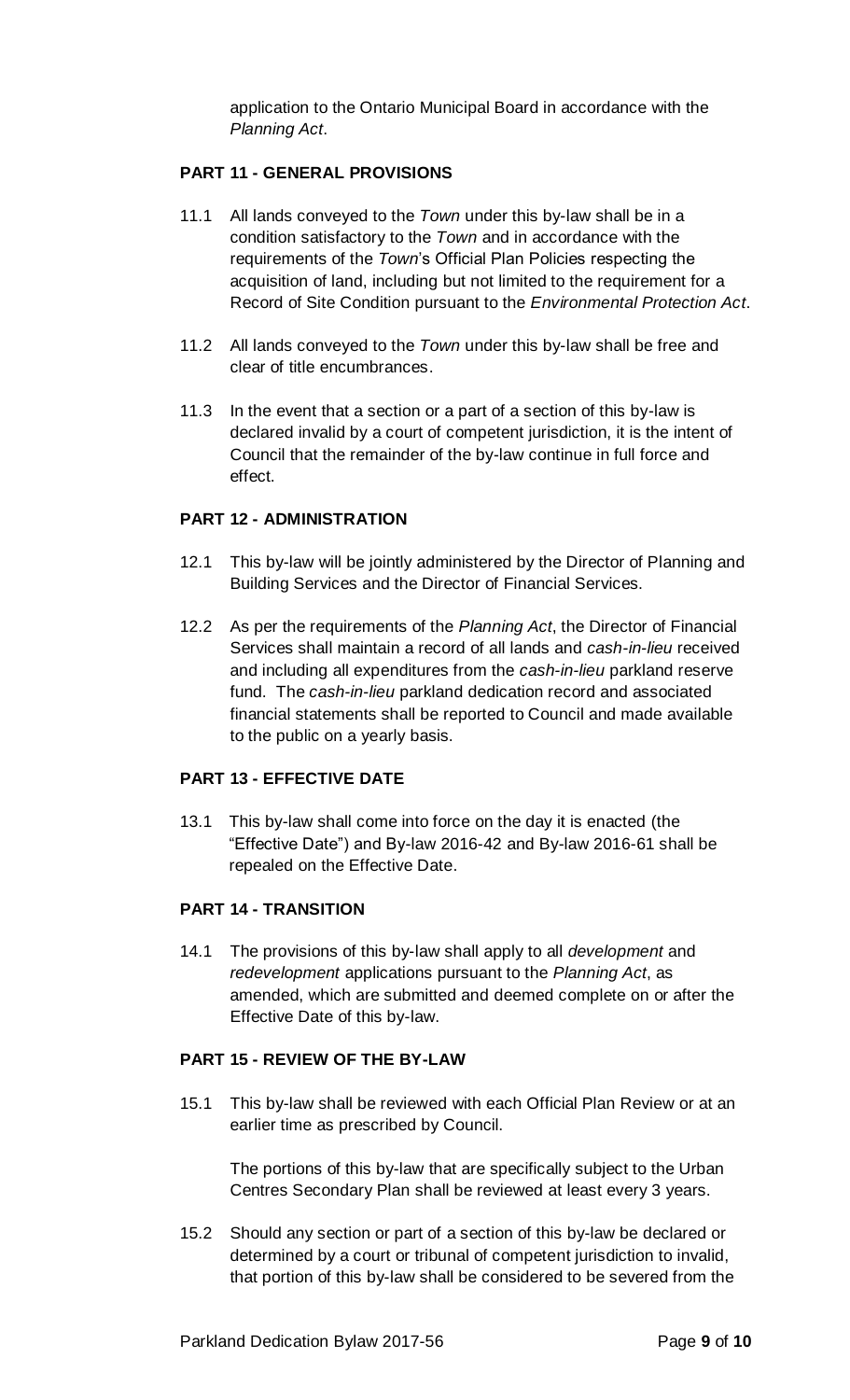application to the Ontario Municipal Board in accordance with the *Planning Act*.

## **PART 11 - GENERAL PROVISIONS**

- 11.1 All lands conveyed to the *Town* under this by-law shall be in a condition satisfactory to the *Town* and in accordance with the requirements of the *Town*'s Official Plan Policies respecting the acquisition of land, including but not limited to the requirement for a Record of Site Condition pursuant to the *Environmental Protection Act*.
- 11.2 All lands conveyed to the *Town* under this by-law shall be free and clear of title encumbrances.
- 11.3 In the event that a section or a part of a section of this by-law is declared invalid by a court of competent jurisdiction, it is the intent of Council that the remainder of the by-law continue in full force and effect.

#### **PART 12 - ADMINISTRATION**

- 12.1 This by-law will be jointly administered by the Director of Planning and Building Services and the Director of Financial Services.
- 12.2 As per the requirements of the *Planning Act*, the Director of Financial Services shall maintain a record of all lands and *cash-in-lieu* received and including all expenditures from the *cash-in-lieu* parkland reserve fund. The *cash-in-lieu* parkland dedication record and associated financial statements shall be reported to Council and made available to the public on a yearly basis.

#### **PART 13 - EFFECTIVE DATE**

13.1 This by-law shall come into force on the day it is enacted (the "Effective Date") and By-law 2016-42 and By-law 2016-61 shall be repealed on the Effective Date.

## **PART 14 - TRANSITION**

14.1 The provisions of this by-law shall apply to all *development* and *redevelopment* applications pursuant to the *Planning Act*, as amended, which are submitted and deemed complete on or after the Effective Date of this by-law.

#### **PART 15 - REVIEW OF THE BY-LAW**

15.1 This by-law shall be reviewed with each Official Plan Review or at an earlier time as prescribed by Council.

The portions of this by-law that are specifically subject to the Urban Centres Secondary Plan shall be reviewed at least every 3 years.

15.2 Should any section or part of a section of this by-law be declared or determined by a court or tribunal of competent jurisdiction to invalid, that portion of this by-law shall be considered to be severed from the